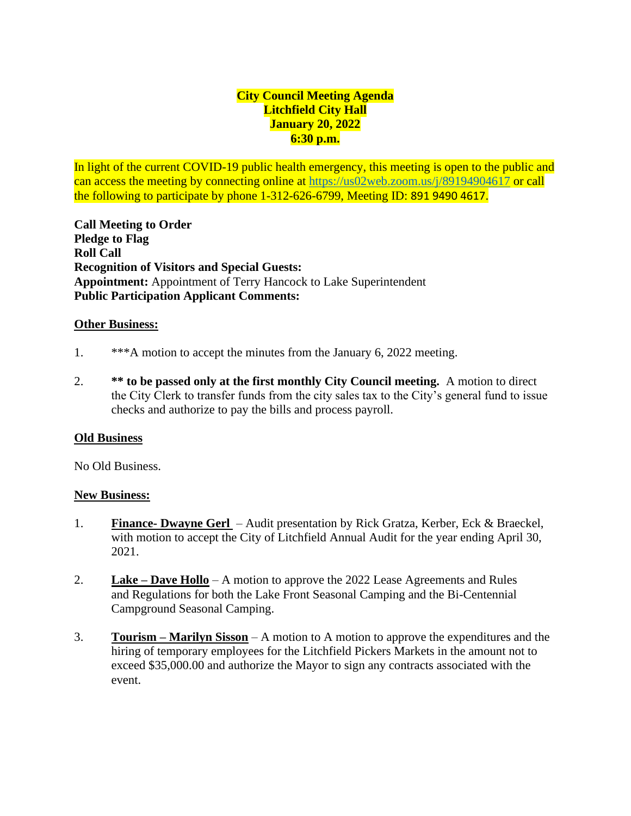# **City Council Meeting Agenda Litchfield City Hall January 20, 2022 6:30 p.m.**

In light of the current COVID-19 public health emergency, this meeting is open to the public and can access the meeting by connecting online at [https://us02web.zoom.us/j/8](https://us02web.zoom.us/j/)9194904617 or call the following to participate by phone 1-312-626-6799, Meeting ID: 891 9490 4617.

**Call Meeting to Order Pledge to Flag Roll Call Recognition of Visitors and Special Guests: Appointment:** Appointment of Terry Hancock to Lake Superintendent **Public Participation Applicant Comments:** 

### **Other Business:**

- 1. \*\*\*A motion to accept the minutes from the January 6, 2022 meeting.
- 2. **\*\* to be passed only at the first monthly City Council meeting.** A motion to direct the City Clerk to transfer funds from the city sales tax to the City's general fund to issue checks and authorize to pay the bills and process payroll.

### **Old Business**

No Old Business.

### **New Business:**

- 1. **Finance- Dwayne Gerl**  Audit presentation by Rick Gratza, Kerber, Eck & Braeckel, with motion to accept the City of Litchfield Annual Audit for the year ending April 30, 2021.
- 2. **Lake – Dave Hollo** A motion to approve the 2022 Lease Agreements and Rules and Regulations for both the Lake Front Seasonal Camping and the Bi-Centennial Campground Seasonal Camping.
- 3. **Tourism – Marilyn Sisson** A motion to A motion to approve the expenditures and the hiring of temporary employees for the Litchfield Pickers Markets in the amount not to exceed \$35,000.00 and authorize the Mayor to sign any contracts associated with the event.